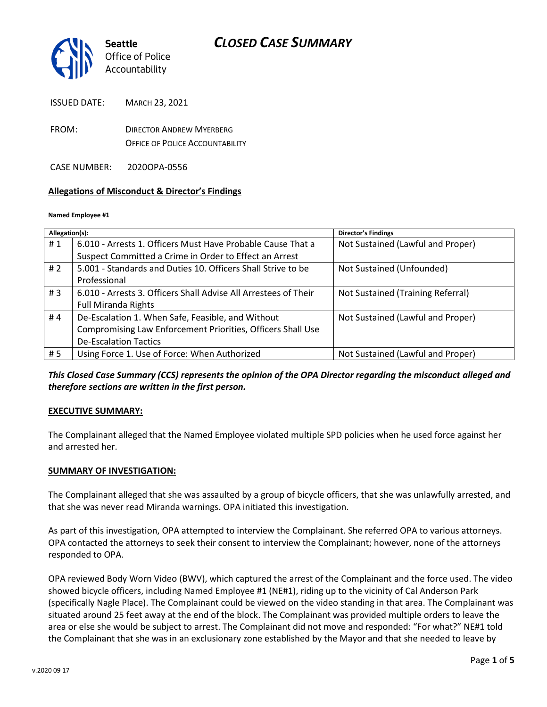

ISSUED DATE: MARCH 23, 2021

FROM: DIRECTOR ANDREW MYERBERG OFFICE OF POLICE ACCOUNTABILITY

CASE NUMBER: 2020OPA-0556

### **Allegations of Misconduct & Director's Findings**

#### **Named Employee #1**

| Allegation(s): |                                                                 | <b>Director's Findings</b>        |
|----------------|-----------------------------------------------------------------|-----------------------------------|
| #1             | 6.010 - Arrests 1. Officers Must Have Probable Cause That a     | Not Sustained (Lawful and Proper) |
|                | Suspect Committed a Crime in Order to Effect an Arrest          |                                   |
| #2             | 5.001 - Standards and Duties 10. Officers Shall Strive to be    | Not Sustained (Unfounded)         |
|                | Professional                                                    |                                   |
| # $3$          | 6.010 - Arrests 3. Officers Shall Advise All Arrestees of Their | Not Sustained (Training Referral) |
|                | <b>Full Miranda Rights</b>                                      |                                   |
| #4             | De-Escalation 1. When Safe, Feasible, and Without               | Not Sustained (Lawful and Proper) |
|                | Compromising Law Enforcement Priorities, Officers Shall Use     |                                   |
|                | <b>De-Escalation Tactics</b>                                    |                                   |
| # 5            | Using Force 1. Use of Force: When Authorized                    | Not Sustained (Lawful and Proper) |

*This Closed Case Summary (CCS) represents the opinion of the OPA Director regarding the misconduct alleged and therefore sections are written in the first person.* 

### **EXECUTIVE SUMMARY:**

The Complainant alleged that the Named Employee violated multiple SPD policies when he used force against her and arrested her.

### **SUMMARY OF INVESTIGATION:**

The Complainant alleged that she was assaulted by a group of bicycle officers, that she was unlawfully arrested, and that she was never read Miranda warnings. OPA initiated this investigation.

As part of this investigation, OPA attempted to interview the Complainant. She referred OPA to various attorneys. OPA contacted the attorneys to seek their consent to interview the Complainant; however, none of the attorneys responded to OPA.

OPA reviewed Body Worn Video (BWV), which captured the arrest of the Complainant and the force used. The video showed bicycle officers, including Named Employee #1 (NE#1), riding up to the vicinity of Cal Anderson Park (specifically Nagle Place). The Complainant could be viewed on the video standing in that area. The Complainant was situated around 25 feet away at the end of the block. The Complainant was provided multiple orders to leave the area or else she would be subject to arrest. The Complainant did not move and responded: "For what?" NE#1 told the Complainant that she was in an exclusionary zone established by the Mayor and that she needed to leave by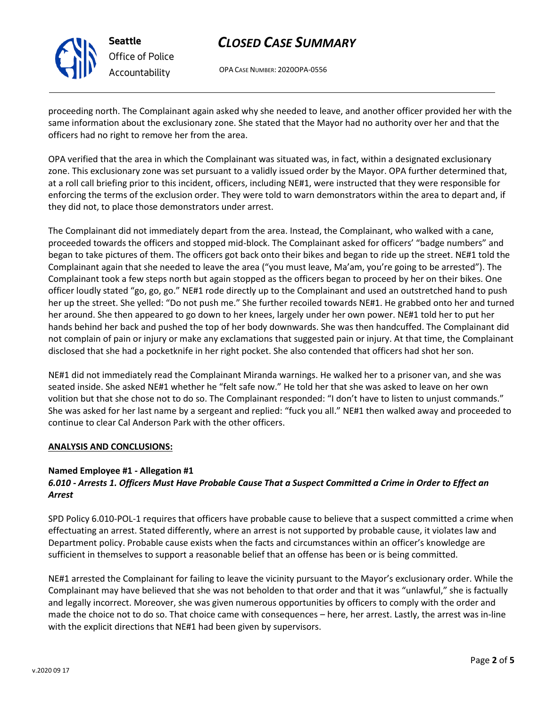

**Seattle** *Office of Police Accountability*

# *CLOSED CASE SUMMARY*

OPA CASE NUMBER: 2020OPA-0556

proceeding north. The Complainant again asked why she needed to leave, and another officer provided her with the same information about the exclusionary zone. She stated that the Mayor had no authority over her and that the officers had no right to remove her from the area.

OPA verified that the area in which the Complainant was situated was, in fact, within a designated exclusionary zone. This exclusionary zone was set pursuant to a validly issued order by the Mayor. OPA further determined that, at a roll call briefing prior to this incident, officers, including NE#1, were instructed that they were responsible for enforcing the terms of the exclusion order. They were told to warn demonstrators within the area to depart and, if they did not, to place those demonstrators under arrest.

The Complainant did not immediately depart from the area. Instead, the Complainant, who walked with a cane, proceeded towards the officers and stopped mid-block. The Complainant asked for officers' "badge numbers" and began to take pictures of them. The officers got back onto their bikes and began to ride up the street. NE#1 told the Complainant again that she needed to leave the area ("you must leave, Ma'am, you're going to be arrested"). The Complainant took a few steps north but again stopped as the officers began to proceed by her on their bikes. One officer loudly stated "go, go, go." NE#1 rode directly up to the Complainant and used an outstretched hand to push her up the street. She yelled: "Do not push me." She further recoiled towards NE#1. He grabbed onto her and turned her around. She then appeared to go down to her knees, largely under her own power. NE#1 told her to put her hands behind her back and pushed the top of her body downwards. She was then handcuffed. The Complainant did not complain of pain or injury or make any exclamations that suggested pain or injury. At that time, the Complainant disclosed that she had a pocketknife in her right pocket. She also contended that officers had shot her son.

NE#1 did not immediately read the Complainant Miranda warnings. He walked her to a prisoner van, and she was seated inside. She asked NE#1 whether he "felt safe now." He told her that she was asked to leave on her own volition but that she chose not to do so. The Complainant responded: "I don't have to listen to unjust commands." She was asked for her last name by a sergeant and replied: "fuck you all." NE#1 then walked away and proceeded to continue to clear Cal Anderson Park with the other officers.

### **ANALYSIS AND CONCLUSIONS:**

### **Named Employee #1 - Allegation #1**

### *6.010 - Arrests 1. Officers Must Have Probable Cause That a Suspect Committed a Crime in Order to Effect an Arrest*

SPD Policy 6.010-POL-1 requires that officers have probable cause to believe that a suspect committed a crime when effectuating an arrest. Stated differently, where an arrest is not supported by probable cause, it violates law and Department policy. Probable cause exists when the facts and circumstances within an officer's knowledge are sufficient in themselves to support a reasonable belief that an offense has been or is being committed.

NE#1 arrested the Complainant for failing to leave the vicinity pursuant to the Mayor's exclusionary order. While the Complainant may have believed that she was not beholden to that order and that it was "unlawful," she is factually and legally incorrect. Moreover, she was given numerous opportunities by officers to comply with the order and made the choice not to do so. That choice came with consequences – here, her arrest. Lastly, the arrest was in-line with the explicit directions that NE#1 had been given by supervisors.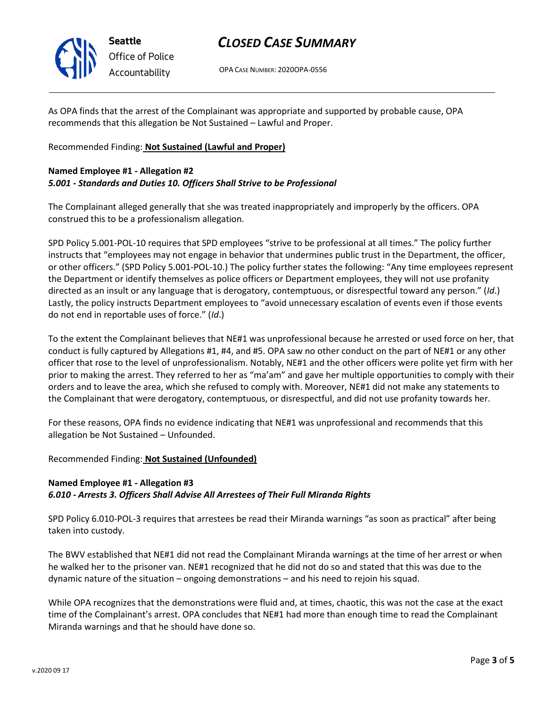

**Seattle** *Office of Police Accountability*

## *CLOSED CASE SUMMARY*

OPA CASE NUMBER: 2020OPA-0556

As OPA finds that the arrest of the Complainant was appropriate and supported by probable cause, OPA recommends that this allegation be Not Sustained – Lawful and Proper.

### Recommended Finding: **Not Sustained (Lawful and Proper)**

## **Named Employee #1 - Allegation #2**

### *5.001 - Standards and Duties 10. Officers Shall Strive to be Professional*

The Complainant alleged generally that she was treated inappropriately and improperly by the officers. OPA construed this to be a professionalism allegation.

SPD Policy 5.001-POL-10 requires that SPD employees "strive to be professional at all times." The policy further instructs that "employees may not engage in behavior that undermines public trust in the Department, the officer, or other officers." (SPD Policy 5.001-POL-10.) The policy further states the following: "Any time employees represent the Department or identify themselves as police officers or Department employees, they will not use profanity directed as an insult or any language that is derogatory, contemptuous, or disrespectful toward any person." (*Id*.) Lastly, the policy instructs Department employees to "avoid unnecessary escalation of events even if those events do not end in reportable uses of force." (*Id*.)

To the extent the Complainant believes that NE#1 was unprofessional because he arrested or used force on her, that conduct is fully captured by Allegations #1, #4, and #5. OPA saw no other conduct on the part of NE#1 or any other officer that rose to the level of unprofessionalism. Notably, NE#1 and the other officers were polite yet firm with her prior to making the arrest. They referred to her as "ma'am" and gave her multiple opportunities to comply with their orders and to leave the area, which she refused to comply with. Moreover, NE#1 did not make any statements to the Complainant that were derogatory, contemptuous, or disrespectful, and did not use profanity towards her.

For these reasons, OPA finds no evidence indicating that NE#1 was unprofessional and recommends that this allegation be Not Sustained – Unfounded.

### Recommended Finding: **Not Sustained (Unfounded)**

### **Named Employee #1 - Allegation #3** *6.010 - Arrests 3. Officers Shall Advise All Arrestees of Their Full Miranda Rights*

SPD Policy 6.010-POL-3 requires that arrestees be read their Miranda warnings "as soon as practical" after being taken into custody.

The BWV established that NE#1 did not read the Complainant Miranda warnings at the time of her arrest or when he walked her to the prisoner van. NE#1 recognized that he did not do so and stated that this was due to the dynamic nature of the situation – ongoing demonstrations – and his need to rejoin his squad.

While OPA recognizes that the demonstrations were fluid and, at times, chaotic, this was not the case at the exact time of the Complainant's arrest. OPA concludes that NE#1 had more than enough time to read the Complainant Miranda warnings and that he should have done so.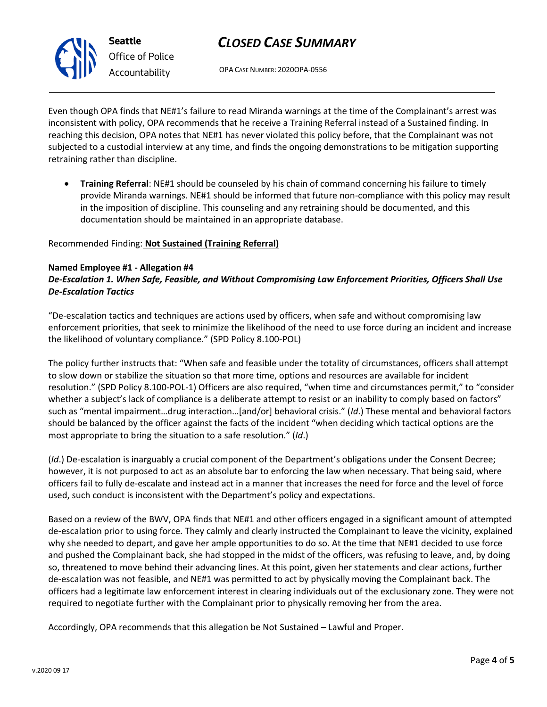

# *CLOSED CASE SUMMARY*

OPA CASE NUMBER: 2020OPA-0556

Even though OPA finds that NE#1's failure to read Miranda warnings at the time of the Complainant's arrest was inconsistent with policy, OPA recommends that he receive a Training Referral instead of a Sustained finding. In reaching this decision, OPA notes that NE#1 has never violated this policy before, that the Complainant was not subjected to a custodial interview at any time, and finds the ongoing demonstrations to be mitigation supporting retraining rather than discipline.

• **Training Referral**: NE#1 should be counseled by his chain of command concerning his failure to timely provide Miranda warnings. NE#1 should be informed that future non-compliance with this policy may result in the imposition of discipline. This counseling and any retraining should be documented, and this documentation should be maintained in an appropriate database.

### Recommended Finding: **Not Sustained (Training Referral)**

### **Named Employee #1 - Allegation #4**

### *De-Escalation 1. When Safe, Feasible, and Without Compromising Law Enforcement Priorities, Officers Shall Use De-Escalation Tactics*

"De-escalation tactics and techniques are actions used by officers, when safe and without compromising law enforcement priorities, that seek to minimize the likelihood of the need to use force during an incident and increase the likelihood of voluntary compliance." (SPD Policy 8.100-POL)

The policy further instructs that: "When safe and feasible under the totality of circumstances, officers shall attempt to slow down or stabilize the situation so that more time, options and resources are available for incident resolution." (SPD Policy 8.100-POL-1) Officers are also required, "when time and circumstances permit," to "consider whether a subject's lack of compliance is a deliberate attempt to resist or an inability to comply based on factors" such as "mental impairment…drug interaction…[and/or] behavioral crisis." (*Id*.) These mental and behavioral factors should be balanced by the officer against the facts of the incident "when deciding which tactical options are the most appropriate to bring the situation to a safe resolution." (*Id*.)

(*Id*.) De-escalation is inarguably a crucial component of the Department's obligations under the Consent Decree; however, it is not purposed to act as an absolute bar to enforcing the law when necessary. That being said, where officers fail to fully de-escalate and instead act in a manner that increases the need for force and the level of force used, such conduct is inconsistent with the Department's policy and expectations.

Based on a review of the BWV, OPA finds that NE#1 and other officers engaged in a significant amount of attempted de-escalation prior to using force. They calmly and clearly instructed the Complainant to leave the vicinity, explained why she needed to depart, and gave her ample opportunities to do so. At the time that NE#1 decided to use force and pushed the Complainant back, she had stopped in the midst of the officers, was refusing to leave, and, by doing so, threatened to move behind their advancing lines. At this point, given her statements and clear actions, further de-escalation was not feasible, and NE#1 was permitted to act by physically moving the Complainant back. The officers had a legitimate law enforcement interest in clearing individuals out of the exclusionary zone. They were not required to negotiate further with the Complainant prior to physically removing her from the area.

Accordingly, OPA recommends that this allegation be Not Sustained – Lawful and Proper.